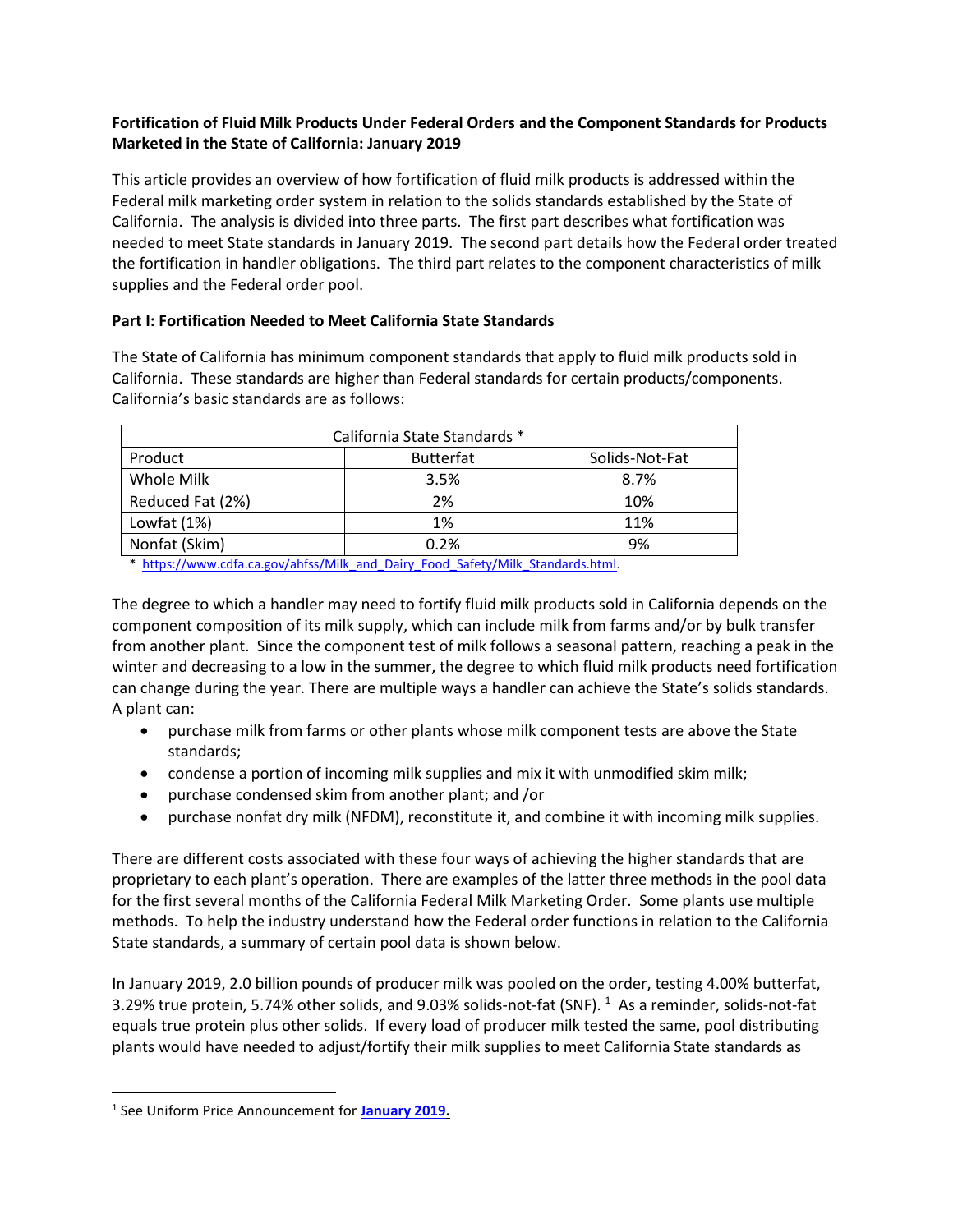# **Fortification of Fluid Milk Products Under Federal Orders and the Component Standards for Products Marketed in the State of California: January 2019**

This article provides an overview of how fortification of fluid milk products is addressed within the Federal milk marketing order system in relation to the solids standards established by the State of California. The analysis is divided into three parts. The first part describes what fortification was needed to meet State standards in January 2019. The second part details how the Federal order treated the fortification in handler obligations. The third part relates to the component characteristics of milk supplies and the Federal order pool.

# **Part I: Fortification Needed to Meet California State Standards**

The State of California has minimum component standards that apply to fluid milk products sold in California. These standards are higher than Federal standards for certain products/components. California's basic standards are as follows:

| California State Standards * |                  |                |  |  |  |
|------------------------------|------------------|----------------|--|--|--|
| Product                      | <b>Butterfat</b> | Solids-Not-Fat |  |  |  |
| Whole Milk                   | 3.5%             | 8.7%           |  |  |  |
| Reduced Fat (2%)             | 2%               | 10%            |  |  |  |
| Lowfat (1%)                  | 1%               | 11%            |  |  |  |
| Nonfat (Skim)                | 0.2%             | 9%             |  |  |  |

\* [https://www.cdfa.ca.gov/ahfss/Milk\\_and\\_Dairy\\_Food\\_Safety/Milk\\_Standards.html.](https://www.cdfa.ca.gov/ahfss/Milk_and_Dairy_Food_Safety/Milk_Standards.html)

The degree to which a handler may need to fortify fluid milk products sold in California depends on the component composition of its milk supply, which can include milk from farms and/or by bulk transfer from another plant. Since the component test of milk follows a seasonal pattern, reaching a peak in the winter and decreasing to a low in the summer, the degree to which fluid milk products need fortification can change during the year. There are multiple ways a handler can achieve the State's solids standards. A plant can:

- purchase milk from farms or other plants whose milk component tests are above the State standards;
- condense a portion of incoming milk supplies and mix it with unmodified skim milk;
- purchase condensed skim from another plant; and /or
- purchase nonfat dry milk (NFDM), reconstitute it, and combine it with incoming milk supplies.

There are different costs associated with these four ways of achieving the higher standards that are proprietary to each plant's operation. There are examples of the latter three methods in the pool data for the first several months of the California Federal Milk Marketing Order. Some plants use multiple methods. To help the industry understand how the Federal order functions in relation to the California State standards, a summary of certain pool data is shown below.

In January 2019, 2.0 billion pounds of producer milk was pooled on the order, testing 4.00% butterfat, 3.29% true protein, 5.74% other solids, and 9.03% solids-not-fat (SNF). 1 As a reminder, solids-not-fat equals true protein plus other solids. If every load of producer milk tested the same, pool distributing plants would have needed to adjust/fortify their milk supplies to meet California State standards as

 $\overline{\phantom{a}}$ 

<sup>1</sup> See Uniform Price Announcement for **[January 2019.](https://www.cafmmo.com/download-file/?s=true&folderMap=prices.statistical-uniform&fileName=2019%2f201901+Pool+Price.pdf&ia=inline)**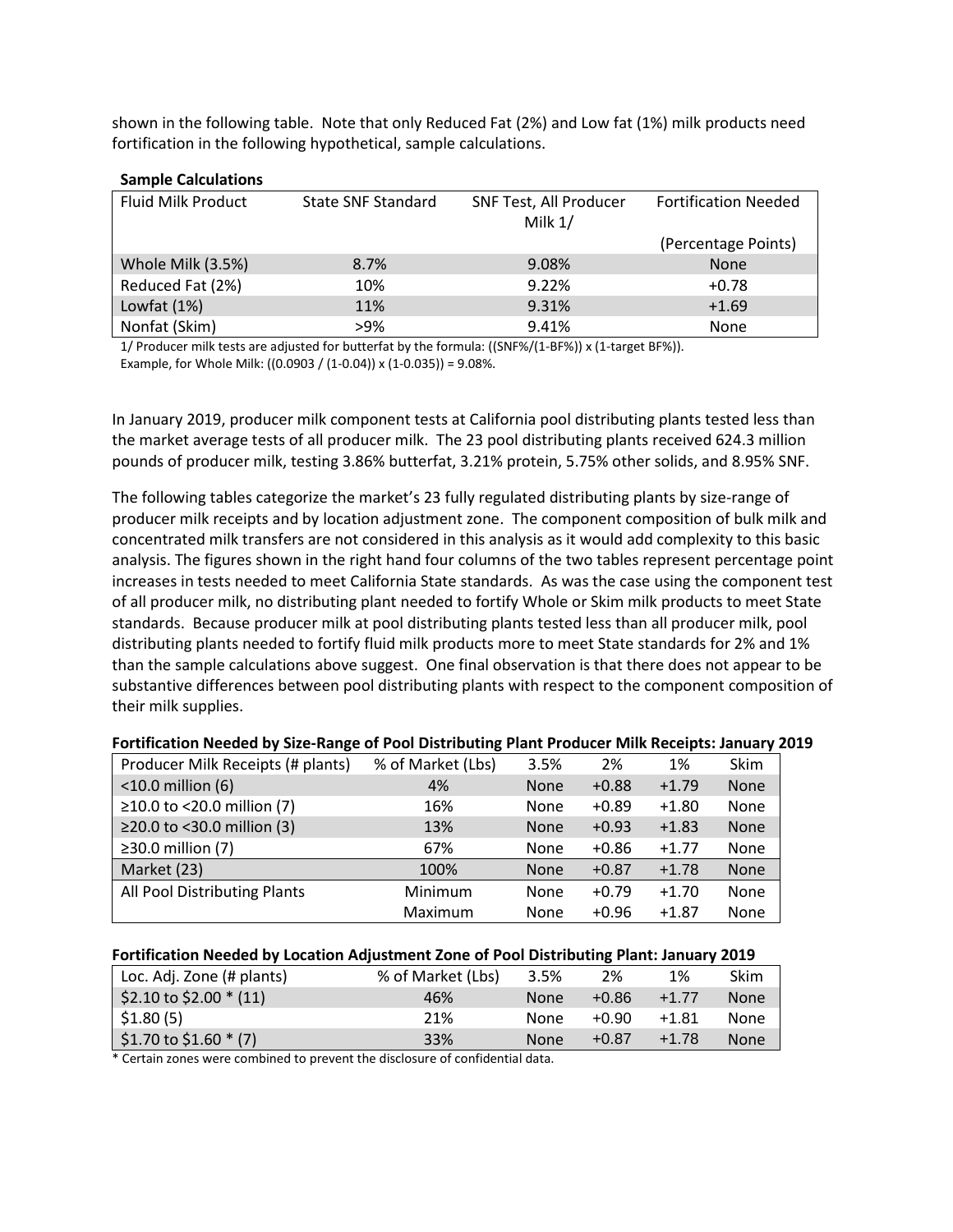shown in the following table. Note that only Reduced Fat (2%) and Low fat (1%) milk products need fortification in the following hypothetical, sample calculations.

### **Sample Calculations**

| <b>Fluid Milk Product</b> | <b>State SNF Standard</b> | SNF Test, All Producer<br>Milk $1/$ | <b>Fortification Needed</b> |
|---------------------------|---------------------------|-------------------------------------|-----------------------------|
|                           |                           |                                     | (Percentage Points)         |
| Whole Milk (3.5%)         | 8.7%                      | 9.08%                               | <b>None</b>                 |
| Reduced Fat (2%)          | 10%                       | 9.22%                               | $+0.78$                     |
| Lowfat $(1%)$             | 11%                       | 9.31%                               | $+1.69$                     |
| Nonfat (Skim)             | $>9\%$                    | 9.41%                               | None                        |

1/ Producer milk tests are adjusted for butterfat by the formula: ((SNF%/(1-BF%)) x (1-target BF%)). Example, for Whole Milk: ((0.0903 / (1-0.04)) x (1-0.035)) = 9.08%.

In January 2019, producer milk component tests at California pool distributing plants tested less than the market average tests of all producer milk. The 23 pool distributing plants received 624.3 million pounds of producer milk, testing 3.86% butterfat, 3.21% protein, 5.75% other solids, and 8.95% SNF.

The following tables categorize the market's 23 fully regulated distributing plants by size-range of producer milk receipts and by location adjustment zone. The component composition of bulk milk and concentrated milk transfers are not considered in this analysis as it would add complexity to this basic analysis. The figures shown in the right hand four columns of the two tables represent percentage point increases in tests needed to meet California State standards. As was the case using the component test of all producer milk, no distributing plant needed to fortify Whole or Skim milk products to meet State standards. Because producer milk at pool distributing plants tested less than all producer milk, pool distributing plants needed to fortify fluid milk products more to meet State standards for 2% and 1% than the sample calculations above suggest. One final observation is that there does not appear to be substantive differences between pool distributing plants with respect to the component composition of their milk supplies.

| Producer Milk Receipts (# plants) | % of Market (Lbs) | 3.5%        | 2%      | 1%      | Skim |
|-----------------------------------|-------------------|-------------|---------|---------|------|
| $<$ 10.0 million (6)              | 4%                | <b>None</b> | $+0.88$ | $+1.79$ | None |
| ≥10.0 to <20.0 million (7)        | 16%               | None        | $+0.89$ | $+1.80$ | None |
| ≥20.0 to <30.0 million (3)        | 13%               | <b>None</b> | $+0.93$ | $+1.83$ | None |
| $\geq$ 30.0 million (7)           | 67%               | None        | $+0.86$ | $+1.77$ | None |
| Market (23)                       | 100%              | <b>None</b> | $+0.87$ | $+1.78$ | None |
| All Pool Distributing Plants      | Minimum           | None        | $+0.79$ | $+1.70$ | None |
|                                   | Maximum           | None        | $+0.96$ | $+1.87$ | None |

#### **Fortification Needed by Size-Range of Pool Distributing Plant Producer Milk Receipts: January 2019**

#### **Fortification Needed by Location Adjustment Zone of Pool Distributing Plant: January 2019**

| Loc. Adj. Zone (# plants)                 | % of Market (Lbs) | 3.5%        | 2%      | 1%      | Skim        |
|-------------------------------------------|-------------------|-------------|---------|---------|-------------|
| $$2.10 \text{ to } $2.00 \text{ * } (11)$ | 46%               | <b>None</b> | $+0.86$ | $+1.77$ | <b>None</b> |
| $\frac{1}{2}$ \$1.80 (5)                  | 21%               | None        | $+0.90$ | $+1.81$ | None        |
| $$1.70 \text{ to } $1.60 \text{ * } (7)$  | 33%               | None        | $+0.87$ | $+1.78$ | <b>None</b> |

\* Certain zones were combined to prevent the disclosure of confidential data.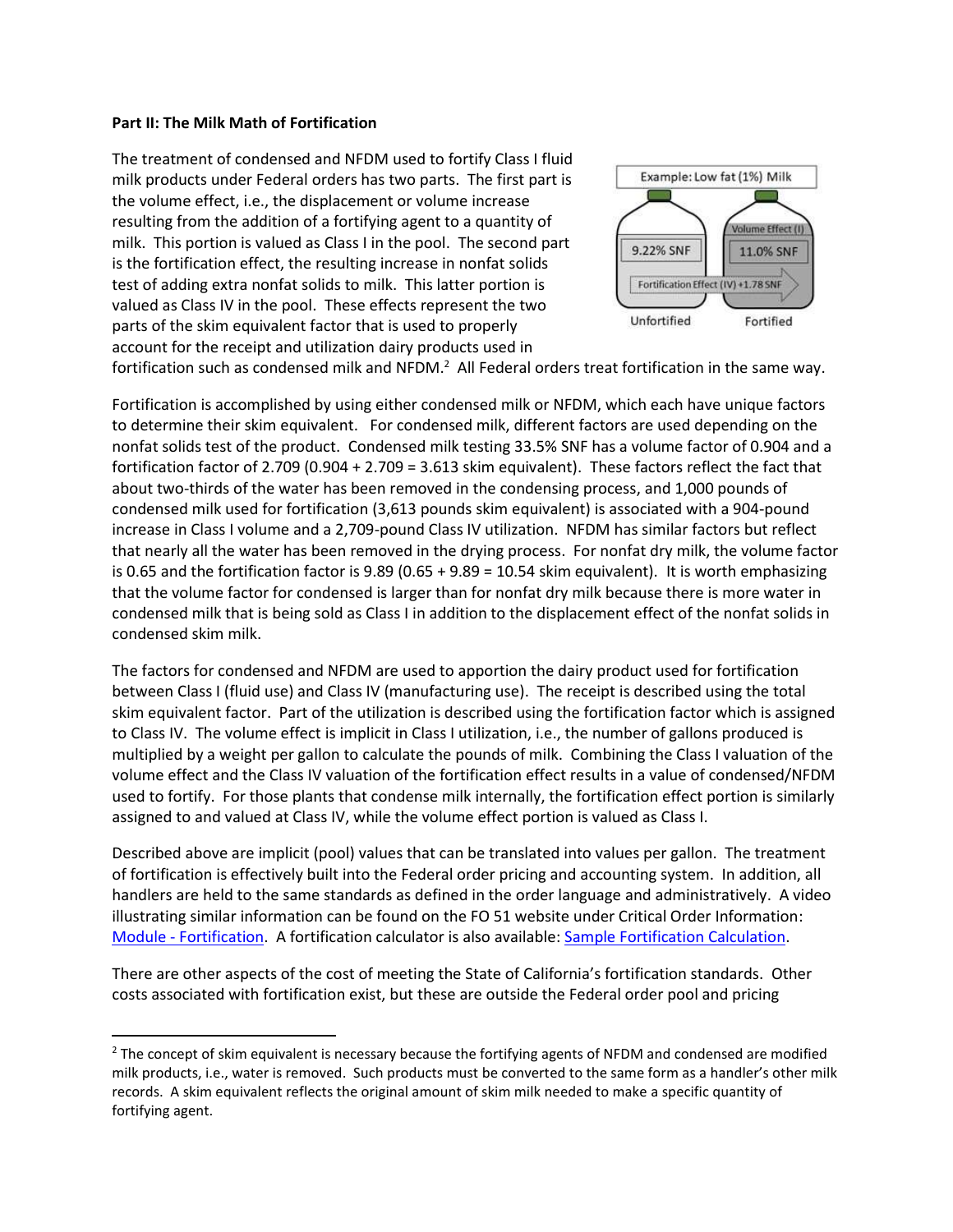### **Part II: The Milk Math of Fortification**

l

The treatment of condensed and NFDM used to fortify Class I fluid milk products under Federal orders has two parts. The first part is the volume effect, i.e., the displacement or volume increase resulting from the addition of a fortifying agent to a quantity of milk. This portion is valued as Class I in the pool. The second part is the fortification effect, the resulting increase in nonfat solids test of adding extra nonfat solids to milk. This latter portion is valued as Class IV in the pool. These effects represent the two parts of the skim equivalent factor that is used to properly account for the receipt and utilization dairy products used in



fortification such as condensed milk and NFDM.<sup>2</sup> All Federal orders treat fortification in the same way.

Fortification is accomplished by using either condensed milk or NFDM, which each have unique factors to determine their skim equivalent. For condensed milk, different factors are used depending on the nonfat solids test of the product. Condensed milk testing 33.5% SNF has a volume factor of 0.904 and a fortification factor of 2.709 (0.904 + 2.709 = 3.613 skim equivalent). These factors reflect the fact that about two-thirds of the water has been removed in the condensing process, and 1,000 pounds of condensed milk used for fortification (3,613 pounds skim equivalent) is associated with a 904-pound increase in Class I volume and a 2,709-pound Class IV utilization. NFDM has similar factors but reflect that nearly all the water has been removed in the drying process. For nonfat dry milk, the volume factor is 0.65 and the fortification factor is 9.89 (0.65 + 9.89 = 10.54 skim equivalent). It is worth emphasizing that the volume factor for condensed is larger than for nonfat dry milk because there is more water in condensed milk that is being sold as Class I in addition to the displacement effect of the nonfat solids in condensed skim milk.

The factors for condensed and NFDM are used to apportion the dairy product used for fortification between Class I (fluid use) and Class IV (manufacturing use). The receipt is described using the total skim equivalent factor. Part of the utilization is described using the fortification factor which is assigned to Class IV. The volume effect is implicit in Class I utilization, i.e., the number of gallons produced is multiplied by a weight per gallon to calculate the pounds of milk. Combining the Class I valuation of the volume effect and the Class IV valuation of the fortification effect results in a value of condensed/NFDM used to fortify. For those plants that condense milk internally, the fortification effect portion is similarly assigned to and valued at Class IV, while the volume effect portion is valued as Class I.

Described above are implicit (pool) values that can be translated into values per gallon. The treatment of fortification is effectively built into the Federal order pricing and accounting system. In addition, all handlers are held to the same standards as defined in the order language and administratively. A video illustrating similar information can be found on the FO 51 website under Critical Order Information: Module - [Fortification.](https://s3-us-gov-west-1.amazonaws.com/cafmmo-public/public+videos/Fortification_Update.mp4) A fortification calculator is also available: [Sample Fortification Calculation.](https://www.cafmmo.com/download-file/?s=true&folderMap=order.information&fileName=FOValuePerUnitCalculations20180906.xlsx)

There are other aspects of the cost of meeting the State of California's fortification standards. Other costs associated with fortification exist, but these are outside the Federal order pool and pricing

 $<sup>2</sup>$  The concept of skim equivalent is necessary because the fortifying agents of NFDM and condensed are modified</sup> milk products, i.e., water is removed. Such products must be converted to the same form as a handler's other milk records. A skim equivalent reflects the original amount of skim milk needed to make a specific quantity of fortifying agent.